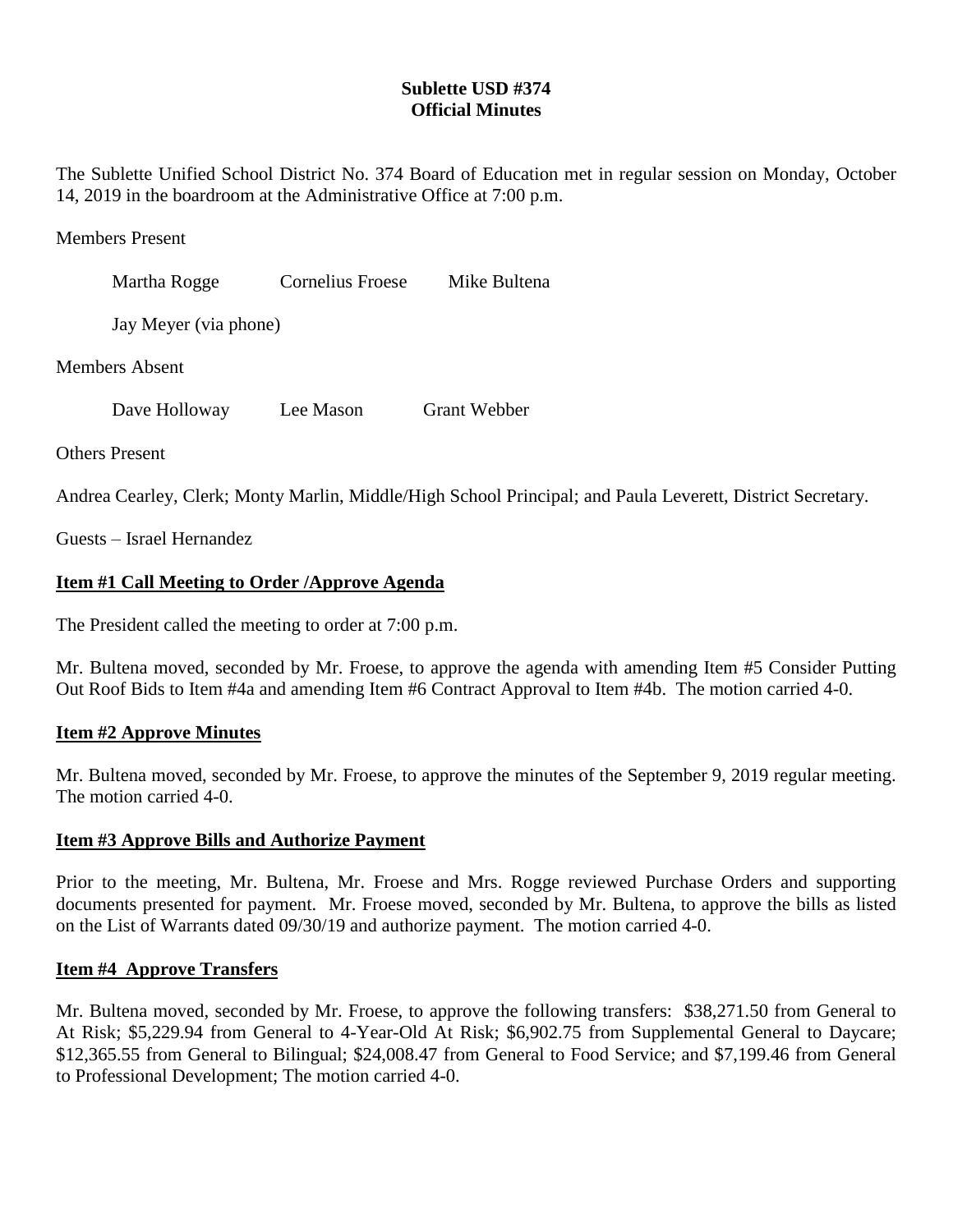# **Sublette USD #374 Official Minutes**

The Sublette Unified School District No. 374 Board of Education met in regular session on Monday, October 14, 2019 in the boardroom at the Administrative Office at 7:00 p.m.

### Members Present

| Martha Rogge          | Cornelius Froese | Mike Bultena |
|-----------------------|------------------|--------------|
| Jay Meyer (via phone) |                  |              |
| <b>Members Absent</b> |                  |              |

Dave Holloway Lee Mason Grant Webber

Others Present

Andrea Cearley, Clerk; Monty Marlin, Middle/High School Principal; and Paula Leverett, District Secretary.

Guests – Israel Hernandez

## **Item #1 Call Meeting to Order /Approve Agenda**

The President called the meeting to order at 7:00 p.m.

Mr. Bultena moved, seconded by Mr. Froese, to approve the agenda with amending Item #5 Consider Putting Out Roof Bids to Item #4a and amending Item #6 Contract Approval to Item #4b. The motion carried 4-0.

## **Item #2 Approve Minutes**

Mr. Bultena moved, seconded by Mr. Froese, to approve the minutes of the September 9, 2019 regular meeting. The motion carried 4-0.

## **Item #3 Approve Bills and Authorize Payment**

Prior to the meeting, Mr. Bultena, Mr. Froese and Mrs. Rogge reviewed Purchase Orders and supporting documents presented for payment. Mr. Froese moved, seconded by Mr. Bultena, to approve the bills as listed on the List of Warrants dated 09/30/19 and authorize payment. The motion carried 4-0.

## **Item #4 Approve Transfers**

Mr. Bultena moved, seconded by Mr. Froese, to approve the following transfers: \$38,271.50 from General to At Risk; \$5,229.94 from General to 4-Year-Old At Risk; \$6,902.75 from Supplemental General to Daycare; \$12,365.55 from General to Bilingual; \$24,008.47 from General to Food Service; and \$7,199.46 from General to Professional Development; The motion carried 4-0.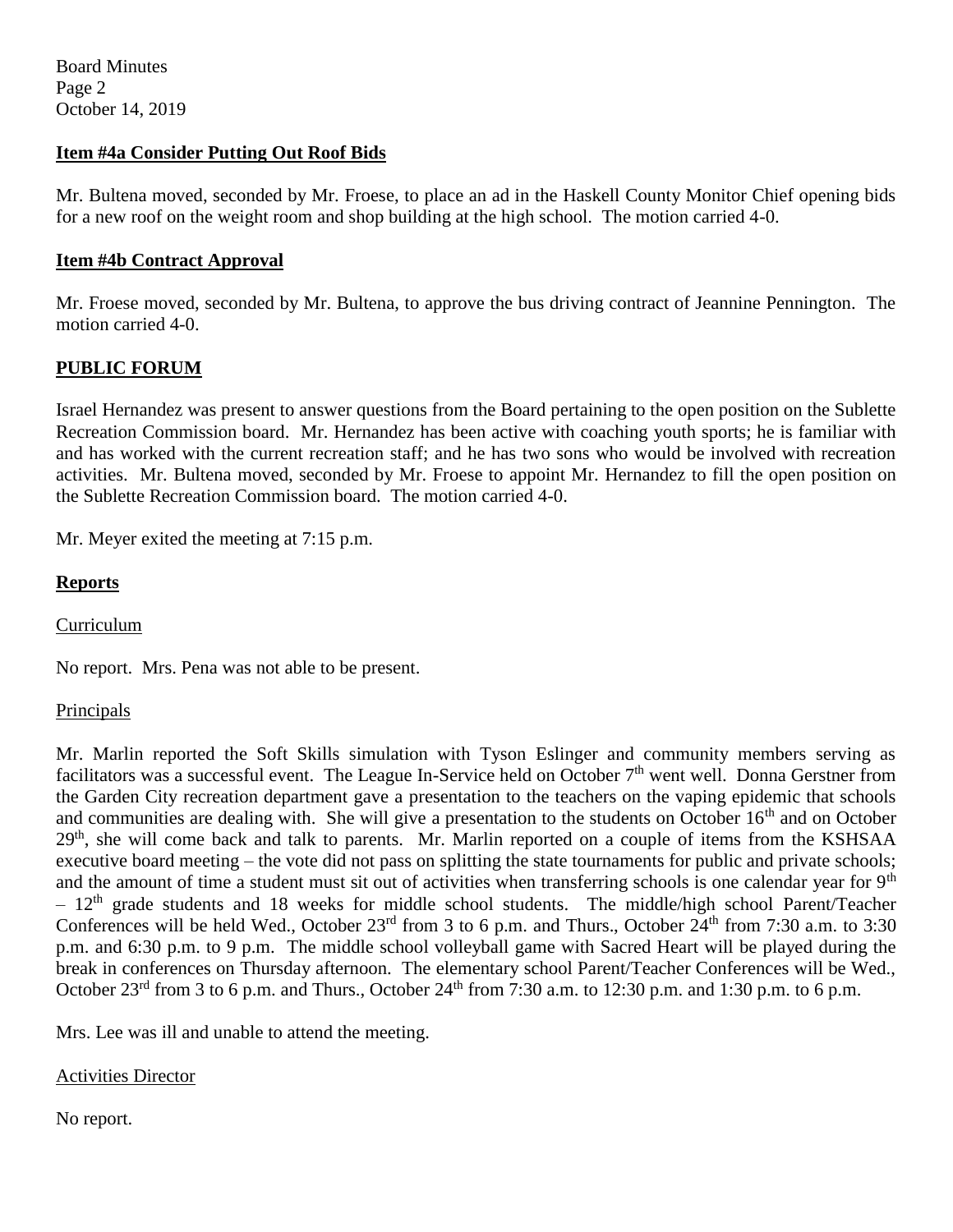Board Minutes Page 2 October 14, 2019

### **Item #4a Consider Putting Out Roof Bids**

Mr. Bultena moved, seconded by Mr. Froese, to place an ad in the Haskell County Monitor Chief opening bids for a new roof on the weight room and shop building at the high school. The motion carried 4-0.

### **Item #4b Contract Approval**

Mr. Froese moved, seconded by Mr. Bultena, to approve the bus driving contract of Jeannine Pennington. The motion carried 4-0.

## **PUBLIC FORUM**

Israel Hernandez was present to answer questions from the Board pertaining to the open position on the Sublette Recreation Commission board. Mr. Hernandez has been active with coaching youth sports; he is familiar with and has worked with the current recreation staff; and he has two sons who would be involved with recreation activities. Mr. Bultena moved, seconded by Mr. Froese to appoint Mr. Hernandez to fill the open position on the Sublette Recreation Commission board. The motion carried 4-0.

Mr. Meyer exited the meeting at 7:15 p.m.

### **Reports**

Curriculum

No report. Mrs. Pena was not able to be present.

#### Principals

Mr. Marlin reported the Soft Skills simulation with Tyson Eslinger and community members serving as facilitators was a successful event. The League In-Service held on October 7<sup>th</sup> went well. Donna Gerstner from the Garden City recreation department gave a presentation to the teachers on the vaping epidemic that schools and communities are dealing with. She will give a presentation to the students on October 16<sup>th</sup> and on October 29<sup>th</sup>, she will come back and talk to parents. Mr. Marlin reported on a couple of items from the KSHSAA executive board meeting – the vote did not pass on splitting the state tournaments for public and private schools; and the amount of time a student must sit out of activities when transferring schools is one calendar year for 9<sup>th</sup>  $-12<sup>th</sup>$  grade students and 18 weeks for middle school students. The middle/high school Parent/Teacher Conferences will be held Wed., October 23<sup>rd</sup> from 3 to 6 p.m. and Thurs., October  $24<sup>th</sup>$  from 7:30 a.m. to 3:30 p.m. and 6:30 p.m. to 9 p.m. The middle school volleyball game with Sacred Heart will be played during the break in conferences on Thursday afternoon. The elementary school Parent/Teacher Conferences will be Wed., October  $23^{\text{rd}}$  from 3 to 6 p.m. and Thurs., October  $24^{\text{th}}$  from 7:30 a.m. to 12:30 p.m. and 1:30 p.m. to 6 p.m.

Mrs. Lee was ill and unable to attend the meeting.

Activities Director

No report.